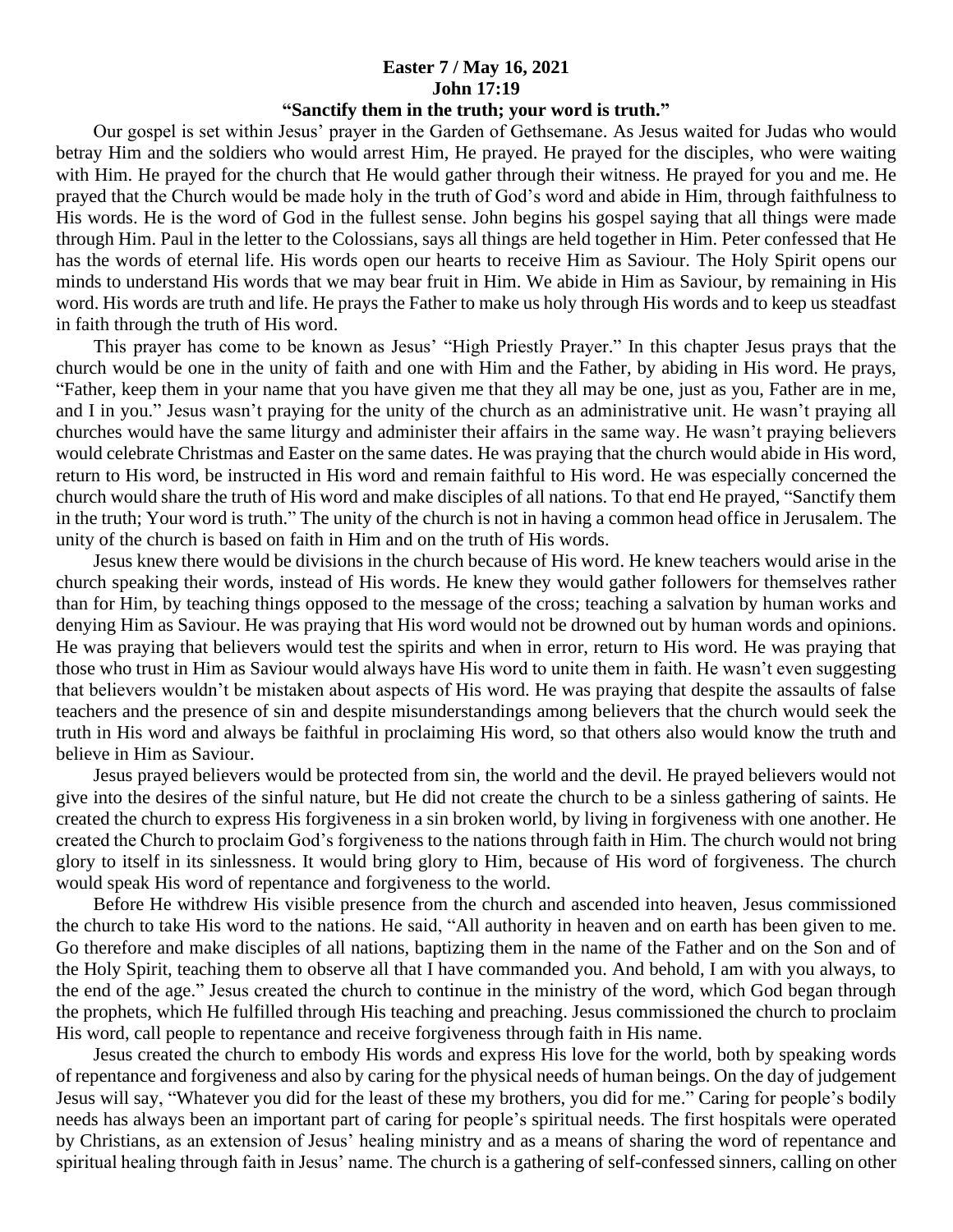## **Easter 7 / May 16, 2021 John 17:19**

## **"Sanctify them in the truth; your word is truth."**

 Our gospel is set within Jesus' prayer in the Garden of Gethsemane. As Jesus waited for Judas who would betray Him and the soldiers who would arrest Him, He prayed. He prayed for the disciples, who were waiting with Him. He prayed for the church that He would gather through their witness. He prayed for you and me. He prayed that the Church would be made holy in the truth of God's word and abide in Him, through faithfulness to His words. He is the word of God in the fullest sense. John begins his gospel saying that all things were made through Him. Paul in the letter to the Colossians, says all things are held together in Him. Peter confessed that He has the words of eternal life. His words open our hearts to receive Him as Saviour. The Holy Spirit opens our minds to understand His words that we may bear fruit in Him. We abide in Him as Saviour, by remaining in His word. His words are truth and life. He prays the Father to make us holy through His words and to keep us steadfast in faith through the truth of His word.

 This prayer has come to be known as Jesus' "High Priestly Prayer." In this chapter Jesus prays that the church would be one in the unity of faith and one with Him and the Father, by abiding in His word. He prays, "Father, keep them in your name that you have given me that they all may be one, just as you, Father are in me, and I in you." Jesus wasn't praying for the unity of the church as an administrative unit. He wasn't praying all churches would have the same liturgy and administer their affairs in the same way. He wasn't praying believers would celebrate Christmas and Easter on the same dates. He was praying that the church would abide in His word, return to His word, be instructed in His word and remain faithful to His word. He was especially concerned the church would share the truth of His word and make disciples of all nations. To that end He prayed, "Sanctify them in the truth; Your word is truth." The unity of the church is not in having a common head office in Jerusalem. The unity of the church is based on faith in Him and on the truth of His words.

 Jesus knew there would be divisions in the church because of His word. He knew teachers would arise in the church speaking their words, instead of His words. He knew they would gather followers for themselves rather than for Him, by teaching things opposed to the message of the cross; teaching a salvation by human works and denying Him as Saviour. He was praying that His word would not be drowned out by human words and opinions. He was praying that believers would test the spirits and when in error, return to His word. He was praying that those who trust in Him as Saviour would always have His word to unite them in faith. He wasn't even suggesting that believers wouldn't be mistaken about aspects of His word. He was praying that despite the assaults of false teachers and the presence of sin and despite misunderstandings among believers that the church would seek the truth in His word and always be faithful in proclaiming His word, so that others also would know the truth and believe in Him as Saviour.

 Jesus prayed believers would be protected from sin, the world and the devil. He prayed believers would not give into the desires of the sinful nature, but He did not create the church to be a sinless gathering of saints. He created the church to express His forgiveness in a sin broken world, by living in forgiveness with one another. He created the Church to proclaim God's forgiveness to the nations through faith in Him. The church would not bring glory to itself in its sinlessness. It would bring glory to Him, because of His word of forgiveness. The church would speak His word of repentance and forgiveness to the world.

 Before He withdrew His visible presence from the church and ascended into heaven, Jesus commissioned the church to take His word to the nations. He said, "All authority in heaven and on earth has been given to me. Go therefore and make disciples of all nations, baptizing them in the name of the Father and on the Son and of the Holy Spirit, teaching them to observe all that I have commanded you. And behold, I am with you always, to the end of the age." Jesus created the church to continue in the ministry of the word, which God began through the prophets, which He fulfilled through His teaching and preaching. Jesus commissioned the church to proclaim His word, call people to repentance and receive forgiveness through faith in His name.

 Jesus created the church to embody His words and express His love for the world, both by speaking words of repentance and forgiveness and also by caring for the physical needs of human beings. On the day of judgement Jesus will say, "Whatever you did for the least of these my brothers, you did for me." Caring for people's bodily needs has always been an important part of caring for people's spiritual needs. The first hospitals were operated by Christians, as an extension of Jesus' healing ministry and as a means of sharing the word of repentance and spiritual healing through faith in Jesus' name. The church is a gathering of self-confessed sinners, calling on other